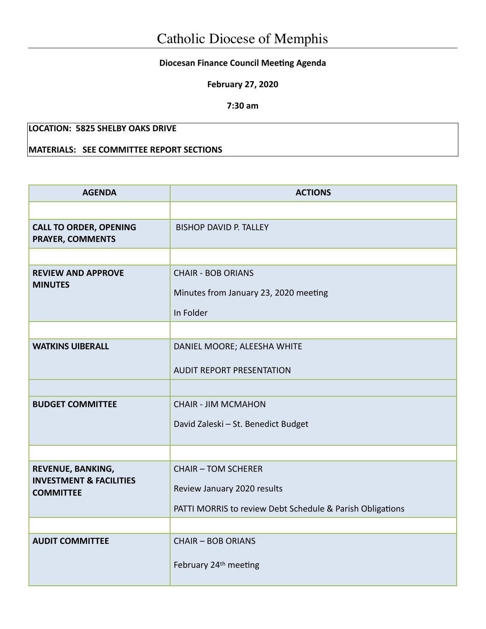## **Diocesan Finance Council Meeting Agenda**

**February 27, 2020**

**7:30 am**

## **LOCATION: 5825 SHELBY OAKS DRIVE**

## **MATERIALS: SEE COMMITTEE REPORT SECTIONS**

| <b>AGENDA</b>                                                               | <b>ACTIONS</b>                                                                                                         |  |  |
|-----------------------------------------------------------------------------|------------------------------------------------------------------------------------------------------------------------|--|--|
|                                                                             |                                                                                                                        |  |  |
| <b>CALL TO ORDER, OPENING</b><br><b>PRAYER, COMMENTS</b>                    | <b>BISHOP DAVID P. TALLEY</b>                                                                                          |  |  |
|                                                                             |                                                                                                                        |  |  |
| <b>REVIEW AND APPROVE</b><br><b>MINUTES</b>                                 | <b>CHAIR - BOB ORIANS</b><br>Minutes from January 23, 2020 meeting<br>In Folder                                        |  |  |
|                                                                             |                                                                                                                        |  |  |
| <b>WATKINS UIBERALL</b>                                                     | DANIEL MOORE; ALEESHA WHITE<br><b>AUDIT REPORT PRESENTATION</b>                                                        |  |  |
|                                                                             |                                                                                                                        |  |  |
| <b>BUDGET COMMITTEE</b>                                                     | <b>CHAIR - JIM MCMAHON</b><br>David Zaleski - St. Benedict Budget                                                      |  |  |
|                                                                             |                                                                                                                        |  |  |
| REVENUE, BANKING,<br><b>INVESTMENT &amp; FACILITIES</b><br><b>COMMITTEE</b> | <b>CHAIR - TOM SCHERER</b><br>Review January 2020 results<br>PATTI MORRIS to review Debt Schedule & Parish Obligations |  |  |
|                                                                             |                                                                                                                        |  |  |
| <b>AUDIT COMMITTEE</b>                                                      | <b>CHAIR - BOB ORIANS</b><br>February 24th meeting                                                                     |  |  |